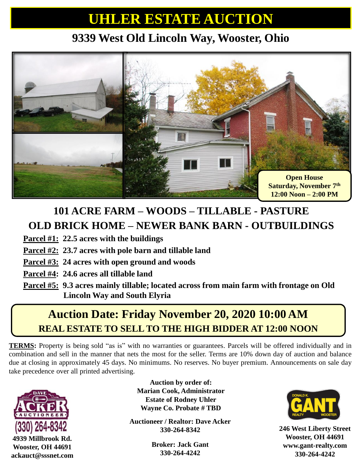## **UHLER ESTATE AUCTION**

### **9339 West Old Lincoln Way, Wooster, Ohio**



### **101 ACRE FARM – WOODS – TILLABLE - PASTURE OLD BRICK HOME – NEWER BANK BARN - OUTBUILDINGS**

**Parcel #1: 22.5 acres with the buildings**

- **Parcel #2: 23.7 acres with pole barn and tillable land**
- **Parcel #3: 24 acres with open ground and woods**
- **Parcel #4: 24.6 acres all tillable land**
- **Parcel #5: 9.3 acres mainly tillable; located across from main farm with frontage on Old Lincoln Way and South Elyria**

## **FOR MORE INFORMATION ASSECTED ASSECTED ADDITIONAL PICTURE AT 12:00 NOON REAL ESTATE TO SELL TO THE HIGH BIDDER AT 12:00 NOON Auction Date: Friday November 20, 2020 10:00 AM**

**TERMS:** Property is being sold "as is" with no warranties or guarantees. Parcels will be offered individually and in combination and sell in the manner that nets the most for the seller. Terms are 10% down day of auction and balance due at closing in approximately 45 days. No minimums. No reserves. No buyer premium. Announcements on sale day take precedence over all printed advertising.



**4939 Millbrook Rd. Wooster, OH 44691 ackauct@sssnet.com**

**Auction by order of: Marian Cook, Administrator Estate of Rodney Uhler Wayne Co. Probate # TBD**

**Auctioneer / Realtor: Dave Acker 330-264-8342**

> **Broker: Jack Gant 330-264-4242**



**246 West Liberty Street Wooster, OH 44691 www.gant-realty.com 330-264-4242**